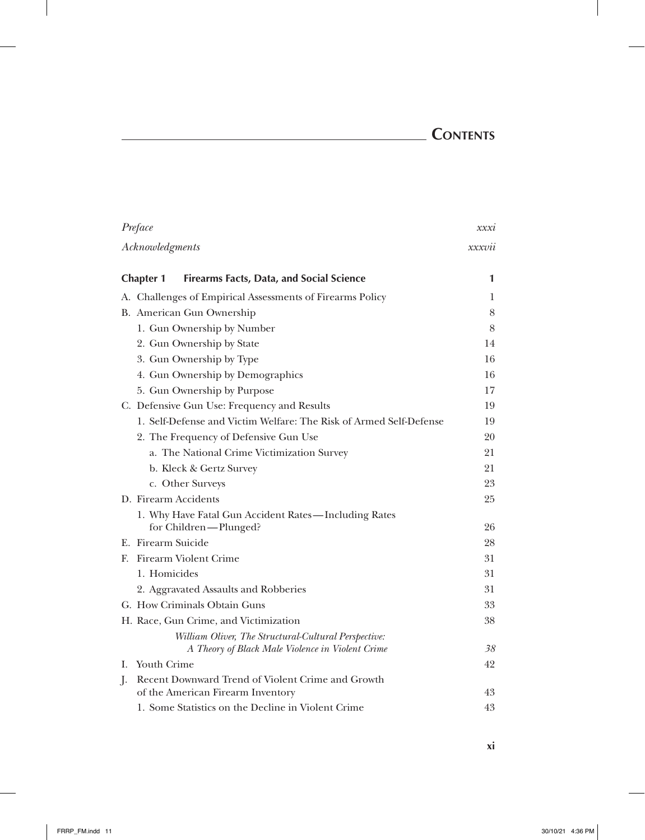# **Contents**

 $\overline{\phantom{a}}$ 

| Preface                                                                                                  | xxxi             |
|----------------------------------------------------------------------------------------------------------|------------------|
| Acknowledgments                                                                                          | $x$ $x$ $x$ $vi$ |
| <b>Firearms Facts, Data, and Social Science</b><br><b>Chapter 1</b>                                      | 1                |
| A. Challenges of Empirical Assessments of Firearms Policy                                                | 1                |
| B. American Gun Ownership                                                                                | 8                |
| 1. Gun Ownership by Number                                                                               | 8                |
| 2. Gun Ownership by State                                                                                | 14               |
| 3. Gun Ownership by Type                                                                                 | 16               |
| 4. Gun Ownership by Demographics                                                                         | 16               |
| 5. Gun Ownership by Purpose                                                                              | 17               |
| C. Defensive Gun Use: Frequency and Results                                                              | 19               |
| 1. Self-Defense and Victim Welfare: The Risk of Armed Self-Defense                                       | 19               |
| 2. The Frequency of Defensive Gun Use                                                                    | 20               |
| a. The National Crime Victimization Survey                                                               | 21               |
| b. Kleck & Gertz Survey                                                                                  | 21               |
| c. Other Surveys                                                                                         | 23               |
| D. Firearm Accidents                                                                                     | 25               |
| 1. Why Have Fatal Gun Accident Rates-Including Rates<br>for Children-Plunged?                            | 26               |
| E. Firearm Suicide                                                                                       | 28               |
| Firearm Violent Crime<br>E.                                                                              | 31               |
| 1. Homicides                                                                                             | 31               |
| 2. Aggravated Assaults and Robberies                                                                     | 31               |
| G. How Criminals Obtain Guns                                                                             | 33               |
| H. Race, Gun Crime, and Victimization                                                                    | 38               |
| William Oliver, The Structural-Cultural Perspective:<br>A Theory of Black Male Violence in Violent Crime | 38               |
| Youth Crime<br>I.                                                                                        | 42               |
| Recent Downward Trend of Violent Crime and Growth<br>J.                                                  |                  |
| of the American Firearm Inventory                                                                        | 43               |
| 1. Some Statistics on the Decline in Violent Crime                                                       | 43               |

 $\mathbb{I}$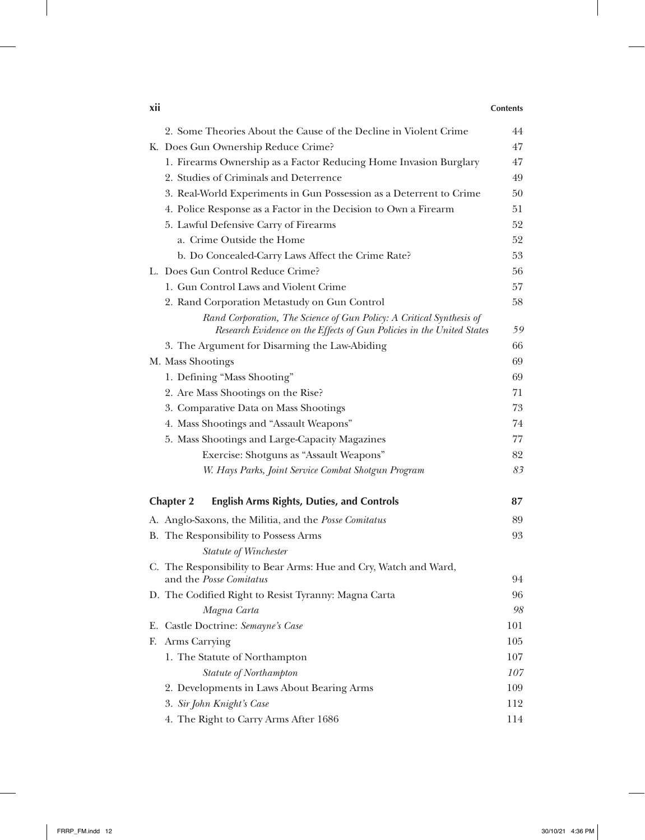### **xii Contents**

 $\overline{1}$ 

| 2. Some Theories About the Cause of the Decline in Violent Crime                                                                              | 44  |
|-----------------------------------------------------------------------------------------------------------------------------------------------|-----|
| K. Does Gun Ownership Reduce Crime?                                                                                                           | 47  |
| 1. Firearms Ownership as a Factor Reducing Home Invasion Burglary                                                                             | 47  |
| 2. Studies of Criminals and Deterrence                                                                                                        | 49  |
| 3. Real-World Experiments in Gun Possession as a Deterrent to Crime                                                                           | 50  |
| 4. Police Response as a Factor in the Decision to Own a Firearm                                                                               | 51  |
| 5. Lawful Defensive Carry of Firearms                                                                                                         | 52  |
| a. Crime Outside the Home                                                                                                                     | 52  |
| b. Do Concealed-Carry Laws Affect the Crime Rate?                                                                                             | 53  |
| L. Does Gun Control Reduce Crime?                                                                                                             | 56  |
| 1. Gun Control Laws and Violent Crime                                                                                                         | 57  |
| 2. Rand Corporation Metastudy on Gun Control                                                                                                  | 58  |
| Rand Corporation, The Science of Gun Policy: A Critical Synthesis of<br>Research Evidence on the Effects of Gun Policies in the United States | 59  |
| 3. The Argument for Disarming the Law-Abiding                                                                                                 | 66  |
| M. Mass Shootings                                                                                                                             | 69  |
| 1. Defining "Mass Shooting"                                                                                                                   | 69  |
| 2. Are Mass Shootings on the Rise?                                                                                                            | 71  |
| 3. Comparative Data on Mass Shootings                                                                                                         | 73  |
| 4. Mass Shootings and "Assault Weapons"                                                                                                       | 74  |
| 5. Mass Shootings and Large-Capacity Magazines                                                                                                | 77  |
| Exercise: Shotguns as "Assault Weapons"                                                                                                       | 82  |
| W. Hays Parks, Joint Service Combat Shotgun Program                                                                                           | 83  |
| <b>English Arms Rights, Duties, and Controls</b><br><b>Chapter 2</b>                                                                          | 87  |
| A. Anglo-Saxons, the Militia, and the Posse Comitatus                                                                                         | 89  |
| B. The Responsibility to Possess Arms                                                                                                         | 93  |
| Statute of Winchester                                                                                                                         |     |
| C. The Responsibility to Bear Arms: Hue and Cry, Watch and Ward,<br>and the Posse Comitatus                                                   | 94  |
| D. The Codified Right to Resist Tyranny: Magna Carta                                                                                          | 96  |
| Magna Carta                                                                                                                                   | 98  |
| E. Castle Doctrine: Semayne's Case                                                                                                            | 101 |
| Arms Carrying<br>F.                                                                                                                           | 105 |
| 1. The Statute of Northampton                                                                                                                 | 107 |
| Statute of Northampton                                                                                                                        | 107 |
| 2. Developments in Laws About Bearing Arms                                                                                                    | 109 |
| 3. Sir John Knight's Case                                                                                                                     | 112 |
| 4. The Right to Carry Arms After 1686                                                                                                         | 114 |

 $\perp$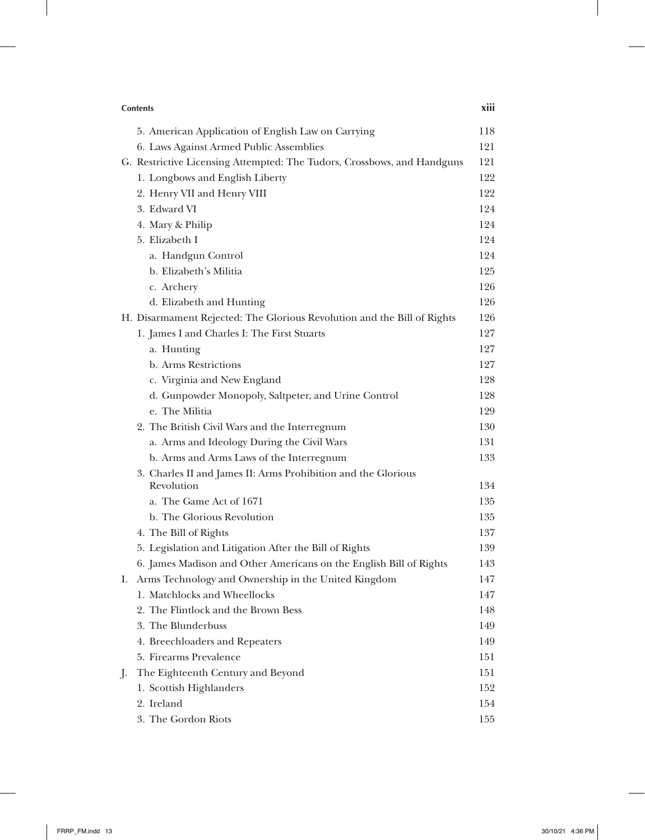|         | <b>Contents</b>                                                                     | xiii       |
|---------|-------------------------------------------------------------------------------------|------------|
|         | 5. American Application of English Law on Carrying                                  | 118        |
|         | 6. Laws Against Armed Public Assemblies                                             | 121        |
|         | G. Restrictive Licensing Attempted: The Tudors, Crossbows, and Handguns             | 121        |
|         | 1. Longbows and English Liberty                                                     | 122        |
|         | 2. Henry VII and Henry VIII                                                         | 122        |
|         | 3. Edward VI                                                                        | 124        |
|         | 4. Mary & Philip                                                                    | 124        |
|         | 5. Elizabeth I                                                                      | 124        |
|         | a. Handgun Control                                                                  | 124        |
|         | b. Elizabeth's Militia                                                              | 125        |
|         | c. Archery                                                                          | 126        |
|         | d. Elizabeth and Hunting                                                            | 126        |
|         | H. Disarmament Rejected: The Glorious Revolution and the Bill of Rights             | 126        |
|         | 1. James I and Charles I: The First Stuarts                                         | 127        |
|         | a. Hunting                                                                          | 127        |
|         | b. Arms Restrictions                                                                | 127        |
|         | c. Virginia and New England                                                         | 128        |
|         | d. Gunpowder Monopoly, Saltpeter, and Urine Control                                 | 128        |
|         | e. The Militia                                                                      | 129        |
|         | 2. The British Civil Wars and the Interregnum                                       | 130        |
|         | a. Arms and Ideology During the Civil Wars                                          | 131        |
|         | b. Arms and Arms Laws of the Interregnum                                            | 133        |
|         | 3. Charles II and James II: Arms Prohibition and the Glorious                       |            |
|         | Revolution                                                                          | 134        |
|         | a. The Game Act of 1671                                                             | 135        |
|         | b. The Glorious Revolution                                                          | 135        |
|         | 4. The Bill of Rights                                                               | 137        |
|         | 5. Legislation and Litigation After the Bill of Rights                              | 139        |
|         | 6. James Madison and Other Americans on the English Bill of Rights                  | 143        |
| Ι.      | Arms Technology and Ownership in the United Kingdom<br>1. Matchlocks and Wheellocks | 147        |
|         | 2. The Flintlock and the Brown Bess                                                 | 147        |
|         | 3. The Blunderbuss                                                                  | 148<br>149 |
|         |                                                                                     |            |
|         | 4. Breechloaders and Repeaters<br>5. Firearms Prevalence                            | 149        |
|         |                                                                                     | 151        |
| $\cdot$ | The Eighteenth Century and Beyond                                                   | 151        |
|         | 1. Scottish Highlanders<br>2. Ireland                                               | 152<br>154 |
|         | 3. The Gordon Riots                                                                 |            |
|         |                                                                                     | 155        |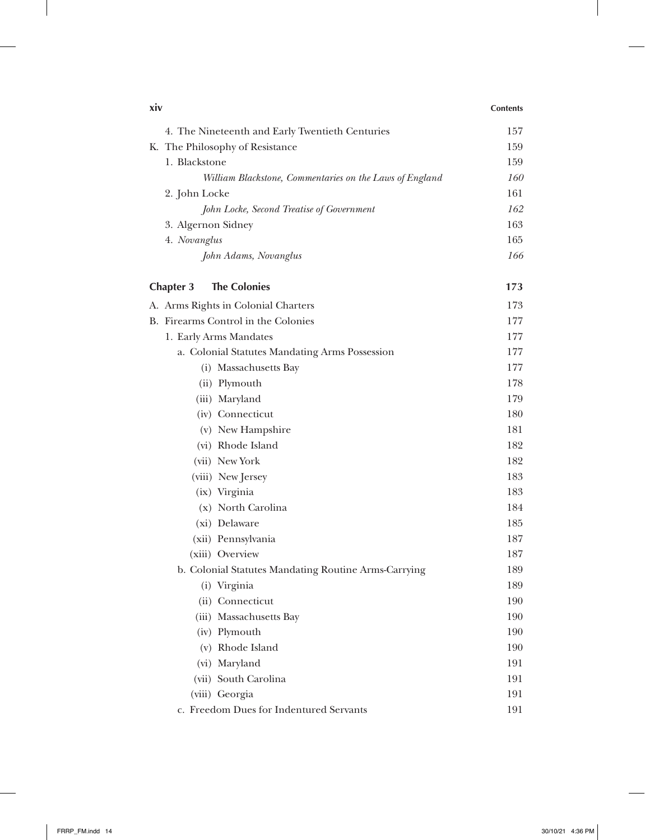| xiv |                                                         | <b>Contents</b> |
|-----|---------------------------------------------------------|-----------------|
|     | 4. The Nineteenth and Early Twentieth Centuries         | 157             |
|     | K. The Philosophy of Resistance                         | 159             |
|     | 1. Blackstone                                           | 159             |
|     | William Blackstone, Commentaries on the Laws of England | <i>160</i>      |
|     | 2. John Locke                                           | 161             |
|     | John Locke, Second Treatise of Government               | 162             |
|     | 3. Algernon Sidney                                      | 163             |
|     | 4. Novanglus                                            | 165             |
|     | John Adams, Novanglus                                   | 166             |
|     | <b>The Colonies</b><br><b>Chapter 3</b>                 | 173             |
|     | A. Arms Rights in Colonial Charters                     | 173             |
|     | B. Firearms Control in the Colonies                     | 177             |
|     | 1. Early Arms Mandates                                  | 177             |
|     | a. Colonial Statutes Mandating Arms Possession          | 177             |
|     | (i) Massachusetts Bay                                   | 177             |
|     | (ii) Plymouth                                           | 178             |
|     | (iii) Maryland                                          | 179             |
|     | (iv) Connecticut                                        | 180             |
|     | (v) New Hampshire                                       | 181             |
|     | (vi) Rhode Island                                       | 182             |
|     | (vii) New York                                          | 182             |
|     | (viii) New Jersey                                       | 183             |
|     | (ix) Virginia                                           | 183             |
|     | (x) North Carolina                                      | 184             |
|     | (xi) Delaware                                           | 185             |
|     | (xii) Pennsylvania                                      | 187             |
|     | (xiii) Overview                                         | 187             |
|     | b. Colonial Statutes Mandating Routine Arms-Carrying    | 189             |
|     | (i) Virginia                                            | 189             |
|     | (ii) Connecticut                                        | 190             |
|     | (iii) Massachusetts Bay                                 | 190             |
|     | (iv) Plymouth                                           | 190             |
|     | (v) Rhode Island                                        | 190             |
|     | (vi) Maryland                                           | 191             |
|     | (vii) South Carolina                                    | 191             |
|     | (viii) Georgia                                          | 191             |
|     | c. Freedom Dues for Indentured Servants                 | 191             |

 $\overline{\phantom{a}}$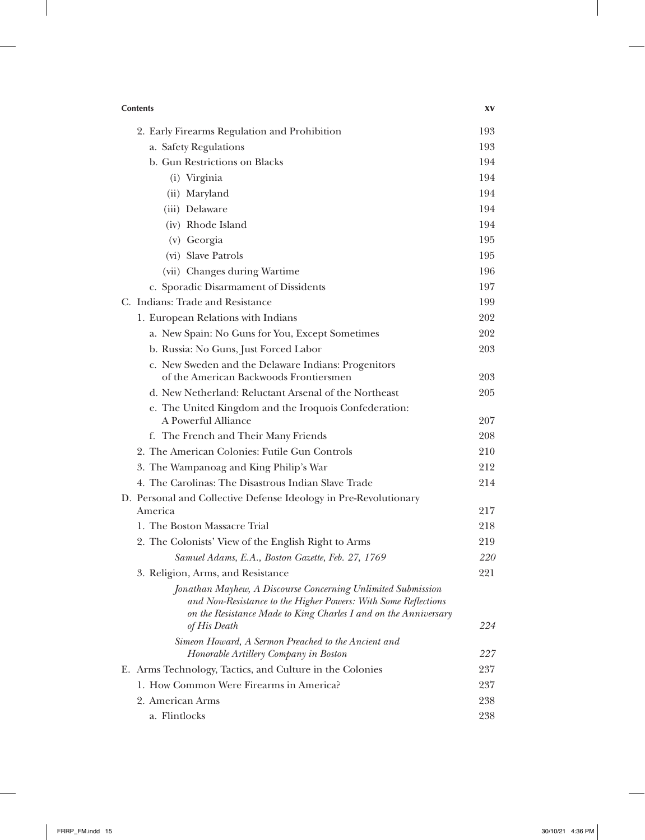| <b>Contents</b>                                                                                                                                                                                                   | XV         |
|-------------------------------------------------------------------------------------------------------------------------------------------------------------------------------------------------------------------|------------|
| 2. Early Firearms Regulation and Prohibition                                                                                                                                                                      | 193        |
| a. Safety Regulations                                                                                                                                                                                             | 193        |
| b. Gun Restrictions on Blacks                                                                                                                                                                                     | 194        |
| (i) Virginia                                                                                                                                                                                                      | 194        |
| (ii) Maryland                                                                                                                                                                                                     | 194        |
| (iii) Delaware                                                                                                                                                                                                    | 194        |
| (iv) Rhode Island                                                                                                                                                                                                 | 194        |
| (v) Georgia                                                                                                                                                                                                       | 195        |
| (vi) Slave Patrols                                                                                                                                                                                                | 195        |
| (vii) Changes during Wartime                                                                                                                                                                                      | 196        |
| c. Sporadic Disarmament of Dissidents                                                                                                                                                                             | 197        |
| C. Indians: Trade and Resistance                                                                                                                                                                                  | 199        |
| 1. European Relations with Indians                                                                                                                                                                                | 202        |
| a. New Spain: No Guns for You, Except Sometimes                                                                                                                                                                   | 202        |
| b. Russia: No Guns, Just Forced Labor                                                                                                                                                                             | 203        |
| c. New Sweden and the Delaware Indians: Progenitors<br>of the American Backwoods Frontiersmen                                                                                                                     | 203        |
| d. New Netherland: Reluctant Arsenal of the Northeast                                                                                                                                                             | 205        |
|                                                                                                                                                                                                                   |            |
| e. The United Kingdom and the Iroquois Confederation:<br>A Powerful Alliance                                                                                                                                      | 207        |
| f. The French and Their Many Friends                                                                                                                                                                              | 208        |
| 2. The American Colonies: Futile Gun Controls                                                                                                                                                                     | 210        |
| 3. The Wampanoag and King Philip's War                                                                                                                                                                            | 212        |
| 4. The Carolinas: The Disastrous Indian Slave Trade                                                                                                                                                               | 214        |
| D. Personal and Collective Defense Ideology in Pre-Revolutionary                                                                                                                                                  |            |
| America                                                                                                                                                                                                           | 217        |
| 1. The Boston Massacre Trial                                                                                                                                                                                      | 218        |
| 2. The Colonists' View of the English Right to Arms                                                                                                                                                               | 219        |
| Samuel Adams, E.A., Boston Gazette, Feb. 27, 1769                                                                                                                                                                 | <i>220</i> |
| 3. Religion, Arms, and Resistance                                                                                                                                                                                 | 221        |
| Jonathan Mayhew, A Discourse Concerning Unlimited Submission<br>and Non-Resistance to the Higher Powers: With Some Reflections<br>on the Resistance Made to King Charles I and on the Anniversary<br>of His Death | 224        |
| Simeon Howard, A Sermon Preached to the Ancient and<br>Honorable Artillery Company in Boston                                                                                                                      | 227        |
| E. Arms Technology, Tactics, and Culture in the Colonies                                                                                                                                                          | 237        |
| 1. How Common Were Firearms in America?                                                                                                                                                                           | 237        |
| 2. American Arms                                                                                                                                                                                                  | 238        |
| a. Flintlocks                                                                                                                                                                                                     | 238        |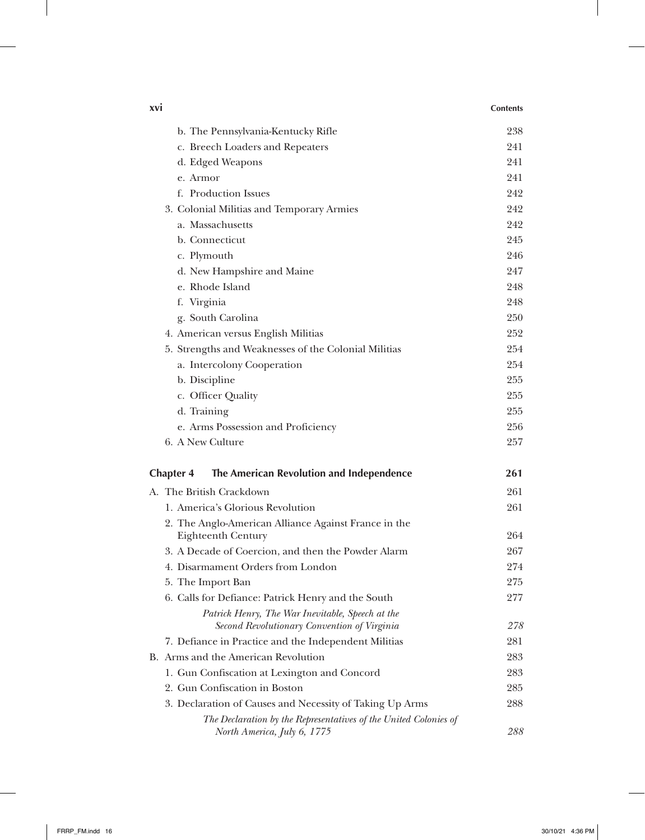| xvi                                                                                             | <b>Contents</b> |
|-------------------------------------------------------------------------------------------------|-----------------|
| b. The Pennsylvania-Kentucky Rifle                                                              | 238             |
| c. Breech Loaders and Repeaters                                                                 | 241             |
| d. Edged Weapons                                                                                | 241             |
| e. Armor                                                                                        | 241             |
| f. Production Issues                                                                            | 242             |
| 3. Colonial Militias and Temporary Armies                                                       | 242             |
| a. Massachusetts                                                                                | 242             |
| b. Connecticut                                                                                  | 245             |
| c. Plymouth                                                                                     | 246             |
| d. New Hampshire and Maine                                                                      | 247             |
| e. Rhode Island                                                                                 | 248             |
| f. Virginia                                                                                     | 248             |
| g. South Carolina                                                                               | 250             |
| 4. American versus English Militias                                                             | 252             |
| 5. Strengths and Weaknesses of the Colonial Militias                                            | 254             |
| a. Intercolony Cooperation                                                                      | 254             |
| b. Discipline                                                                                   | 255             |
| c. Officer Quality                                                                              | 255             |
| d. Training                                                                                     | 255             |
| e. Arms Possession and Proficiency                                                              | 256             |
| 6. A New Culture                                                                                | 257             |
| The American Revolution and Independence<br><b>Chapter 4</b>                                    | 261             |
| A. The British Crackdown                                                                        | 261             |
| 1. America's Glorious Revolution                                                                | 261             |
| 2. The Anglo-American Alliance Against France in the                                            |                 |
| Eighteenth Century                                                                              | 264             |
| 3. A Decade of Coercion, and then the Powder Alarm                                              | 267             |
| 4. Disarmament Orders from London                                                               | 274             |
| 5. The Import Ban                                                                               | 275             |
| 6. Calls for Defiance: Patrick Henry and the South                                              | 277             |
| Patrick Henry, The War Inevitable, Speech at the<br>Second Revolutionary Convention of Virginia | 278             |
| 7. Defiance in Practice and the Independent Militias                                            | 281             |
| B. Arms and the American Revolution                                                             | 283             |
| 1. Gun Confiscation at Lexington and Concord                                                    | 283             |
| 2. Gun Confiscation in Boston                                                                   | 285             |
| 3. Declaration of Causes and Necessity of Taking Up Arms                                        | 288             |
| The Declaration by the Representatives of the United Colonies of<br>North America, July 6, 1775 | 288             |

 $\perp$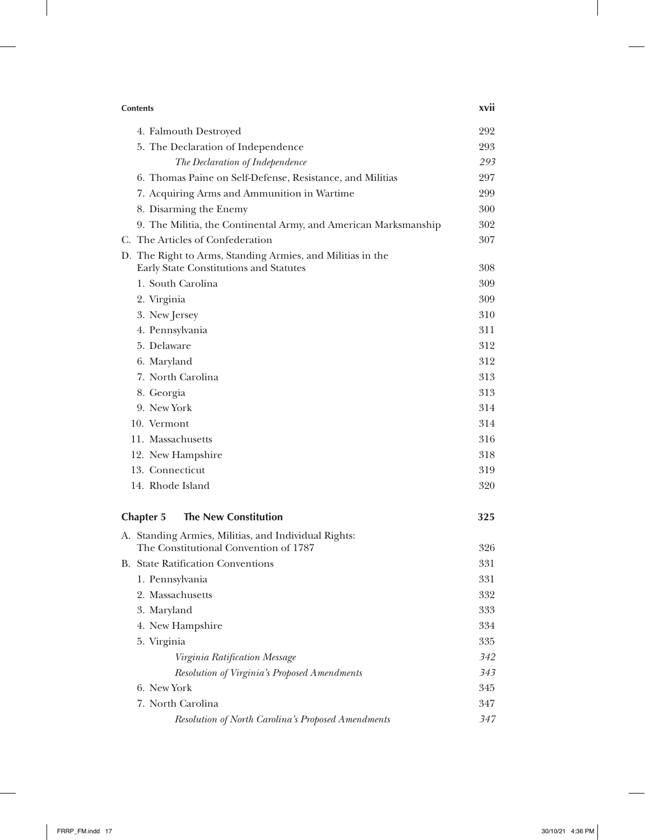| <b>Contents</b>                                                                                      | <b>XVII</b> |
|------------------------------------------------------------------------------------------------------|-------------|
| 4. Falmouth Destroyed                                                                                | 292         |
| 5. The Declaration of Independence                                                                   | 293         |
| The Declaration of Independence                                                                      | 293         |
| 6. Thomas Paine on Self-Defense, Resistance, and Militias                                            | 297         |
| 7. Acquiring Arms and Ammunition in Wartime                                                          | 299         |
| 8. Disarming the Enemy                                                                               | 300         |
| 9. The Militia, the Continental Army, and American Marksmanship                                      | 302         |
| C. The Articles of Confederation                                                                     | 307         |
| D. The Right to Arms, Standing Armies, and Militias in the<br>Early State Constitutions and Statutes | 308         |
| 1. South Carolina                                                                                    | 309         |
| 2. Virginia                                                                                          | 309         |
| 3. New Jersey                                                                                        | 310         |
| 4. Pennsylvania                                                                                      | 311         |
| 5. Delaware                                                                                          | 312         |
| 6. Maryland                                                                                          | 312         |
| 7. North Carolina                                                                                    | 313         |
| 8. Georgia                                                                                           | 313         |
| 9. New York                                                                                          | 314         |
| 10. Vermont                                                                                          | 314         |
| 11. Massachusetts                                                                                    | 316         |
| 12. New Hampshire                                                                                    | 318         |
| 13. Connecticut                                                                                      | 319         |
| 14. Rhode Island                                                                                     | 320         |
| <b>The New Constitution</b><br><b>Chapter 5</b>                                                      | 325         |
| A. Standing Armies, Militias, and Individual Rights:                                                 |             |
| The Constitutional Convention of 1787                                                                | 326         |
| B. State Ratification Conventions                                                                    | 331         |
| 1. Pennsylvania                                                                                      | 331         |
| 2. Massachusetts                                                                                     | 332         |
| 3. Maryland                                                                                          | 333         |
| 4. New Hampshire                                                                                     | 334         |
| 5. Virginia                                                                                          | 335         |
| Virginia Ratification Message                                                                        | 342         |
| <b>Resolution of Virginia's Proposed Amendments</b>                                                  | 343         |
| 6. New York                                                                                          | 345         |
| 7. North Carolina                                                                                    | 347         |
| Resolution of North Carolina's Proposed Amendments                                                   | 347         |

 $\perp$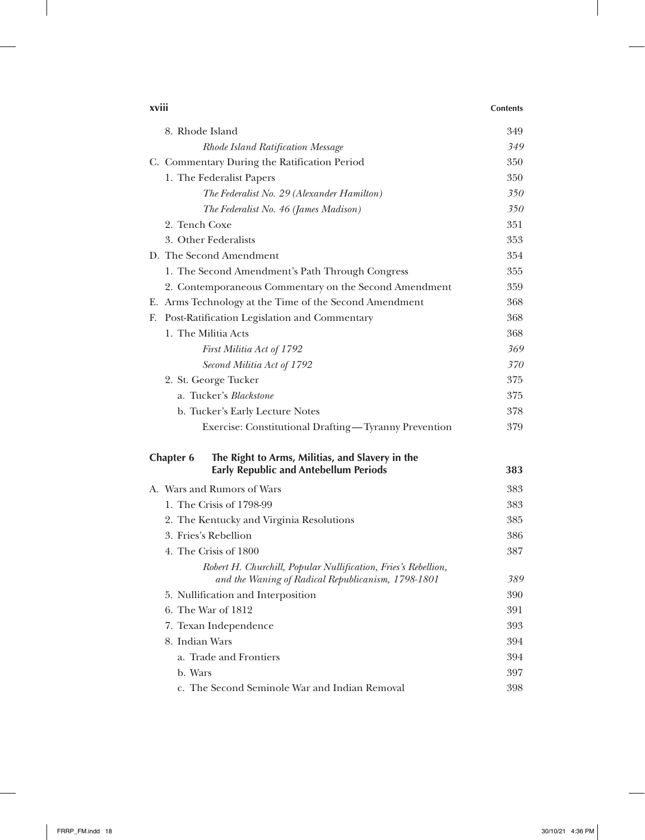| xviii |                                                                                                                      | <b>Contents</b> |
|-------|----------------------------------------------------------------------------------------------------------------------|-----------------|
|       | 8. Rhode Island                                                                                                      | 349             |
|       | Rhode Island Ratification Message                                                                                    | 349             |
|       | C. Commentary During the Ratification Period                                                                         | 350             |
|       | 1. The Federalist Papers                                                                                             | 350             |
|       | The Federalist No. 29 (Alexander Hamilton)                                                                           | 350             |
|       | The Federalist No. 46 (James Madison)                                                                                | 350             |
|       | 2. Tench Coxe                                                                                                        | 351             |
|       | 3. Other Federalists                                                                                                 | 353             |
|       | D. The Second Amendment                                                                                              | 354             |
|       | 1. The Second Amendment's Path Through Congress                                                                      | 355             |
|       | 2. Contemporaneous Commentary on the Second Amendment                                                                | 359             |
|       | E. Arms Technology at the Time of the Second Amendment                                                               | 368             |
| Е.    | Post-Ratification Legislation and Commentary                                                                         | 368             |
|       | 1. The Militia Acts                                                                                                  | 368             |
|       | First Militia Act of 1792                                                                                            | 369             |
|       | Second Militia Act of 1792                                                                                           | 370             |
|       | 2. St. George Tucker                                                                                                 | 375             |
|       | a. Tucker's <i>Blackstone</i>                                                                                        | 375             |
|       | b. Tucker's Early Lecture Notes                                                                                      | 378             |
|       | Exercise: Constitutional Drafting-Tyranny Prevention                                                                 | 379             |
|       | The Right to Arms, Militias, and Slavery in the<br><b>Chapter 6</b>                                                  |                 |
|       | <b>Early Republic and Antebellum Periods</b>                                                                         | 383             |
|       | A. Wars and Rumors of Wars                                                                                           | 383             |
|       | 1. The Crisis of 1798-99                                                                                             | 383             |
|       | 2. The Kentucky and Virginia Resolutions                                                                             | 385             |
|       | 3. Fries's Rebellion                                                                                                 | 386             |
|       | 4. The Crisis of 1800                                                                                                | 387             |
|       | Robert H. Churchill, Popular Nullification, Fries's Rebellion,<br>and the Waning of Radical Republicanism, 1798-1801 | 389             |
|       | 5. Nullification and Interposition                                                                                   | 390             |
|       | 6. The War of 1812                                                                                                   | 391             |
|       | 7. Texan Independence                                                                                                | 393             |
|       | 8. Indian Wars                                                                                                       | 394             |
|       | a. Trade and Frontiers                                                                                               | 394             |
|       | b. Wars                                                                                                              | 397             |
|       | c. The Second Seminole War and Indian Removal                                                                        | 398             |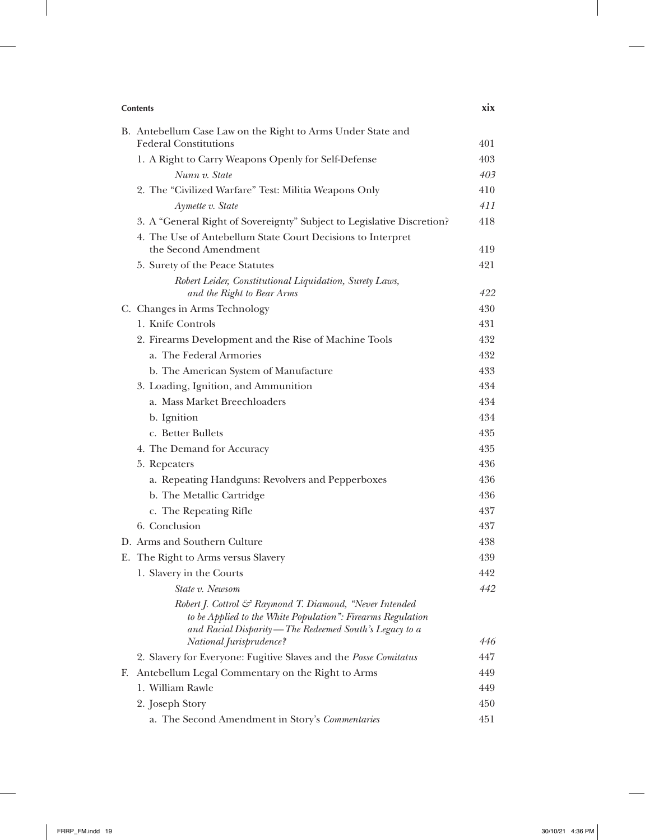|    | <b>Contents</b>                                                                                                                                                                                              | <b>XIX</b> |  |
|----|--------------------------------------------------------------------------------------------------------------------------------------------------------------------------------------------------------------|------------|--|
|    | B. Antebellum Case Law on the Right to Arms Under State and                                                                                                                                                  |            |  |
|    | <b>Federal Constitutions</b>                                                                                                                                                                                 | 401        |  |
|    | 1. A Right to Carry Weapons Openly for Self-Defense                                                                                                                                                          | 403        |  |
|    | Nunn v. State                                                                                                                                                                                                | 403        |  |
|    | 2. The "Civilized Warfare" Test: Militia Weapons Only                                                                                                                                                        | 410        |  |
|    | Aymette v. State                                                                                                                                                                                             | 411        |  |
|    | 3. A "General Right of Sovereignty" Subject to Legislative Discretion?                                                                                                                                       | 418        |  |
|    | 4. The Use of Antebellum State Court Decisions to Interpret<br>the Second Amendment                                                                                                                          | 419        |  |
|    | 5. Surety of the Peace Statutes                                                                                                                                                                              | 421        |  |
|    | Robert Leider, Constitutional Liquidation, Surety Laws,<br>and the Right to Bear Arms                                                                                                                        | 422        |  |
|    | C. Changes in Arms Technology                                                                                                                                                                                | 430        |  |
|    | 1. Knife Controls                                                                                                                                                                                            | 431        |  |
|    | 2. Firearms Development and the Rise of Machine Tools                                                                                                                                                        | 432        |  |
|    | a. The Federal Armories                                                                                                                                                                                      | 432        |  |
|    | b. The American System of Manufacture                                                                                                                                                                        | 433        |  |
|    | 3. Loading, Ignition, and Ammunition                                                                                                                                                                         | 434        |  |
|    | a. Mass Market Breechloaders                                                                                                                                                                                 | 434        |  |
|    | b. Ignition                                                                                                                                                                                                  | 434        |  |
|    | c. Better Bullets                                                                                                                                                                                            | 435        |  |
|    | 4. The Demand for Accuracy                                                                                                                                                                                   | 435        |  |
|    | 5. Repeaters                                                                                                                                                                                                 | 436        |  |
|    | a. Repeating Handguns: Revolvers and Pepperboxes                                                                                                                                                             | 436        |  |
|    | b. The Metallic Cartridge                                                                                                                                                                                    | 436        |  |
|    | c. The Repeating Rifle                                                                                                                                                                                       | 437        |  |
|    | 6. Conclusion                                                                                                                                                                                                | 437        |  |
|    | D. Arms and Southern Culture                                                                                                                                                                                 | 438        |  |
|    | E. The Right to Arms versus Slavery                                                                                                                                                                          | 439        |  |
|    | 1. Slavery in the Courts                                                                                                                                                                                     | 442        |  |
|    | State v. Newsom                                                                                                                                                                                              | 442        |  |
|    | Robert J. Cottrol & Raymond T. Diamond, "Never Intended<br>to be Applied to the White Population": Firearms Regulation<br>and Racial Disparity — The Redeemed South's Legacy to a<br>National Jurisprudence? | 446        |  |
|    | 2. Slavery for Everyone: Fugitive Slaves and the <i>Posse Comitatus</i>                                                                                                                                      | 447        |  |
| F. | Antebellum Legal Commentary on the Right to Arms                                                                                                                                                             | 449        |  |
|    | 1. William Rawle                                                                                                                                                                                             | 449        |  |
|    | 2. Joseph Story                                                                                                                                                                                              | 450        |  |
|    | a. The Second Amendment in Story's Commentaries                                                                                                                                                              | 451        |  |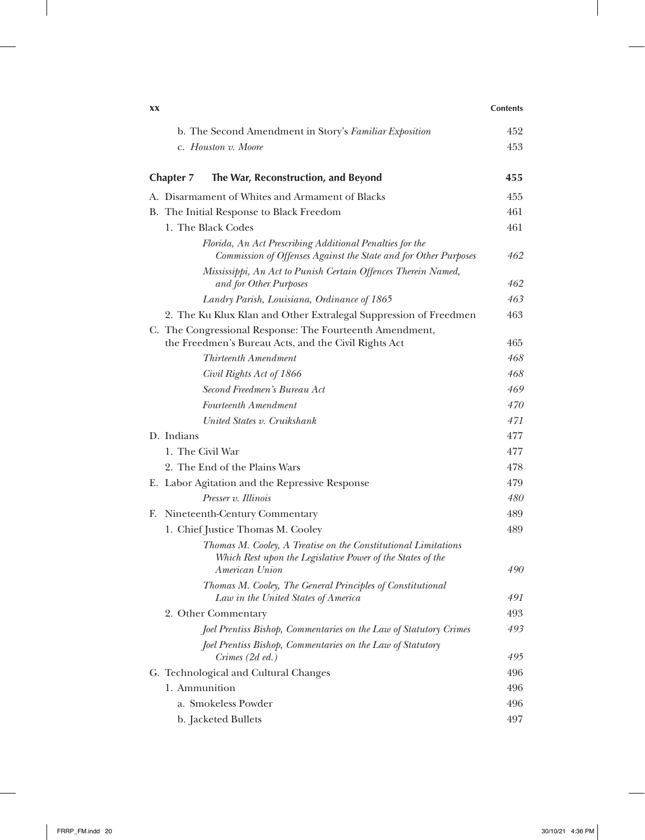| XX                                                                                                                           | <b>Contents</b> |
|------------------------------------------------------------------------------------------------------------------------------|-----------------|
| b. The Second Amendment in Story's Familiar Exposition                                                                       | 452             |
| c. Houston v. Moore                                                                                                          | 453             |
|                                                                                                                              |                 |
| The War, Reconstruction, and Beyond<br>Chapter 7                                                                             | 455             |
| A. Disarmament of Whites and Armament of Blacks                                                                              | 455             |
| B. The Initial Response to Black Freedom                                                                                     | 461             |
| 1. The Black Codes                                                                                                           | 461             |
| Florida, An Act Prescribing Additional Penalties for the<br>Commission of Offenses Against the State and for Other Purposes  | 462             |
| Mississippi, An Act to Punish Certain Offences Therein Named,<br>and for Other Purposes                                      | 462             |
| Landry Parish, Louisiana, Ordinance of 1865                                                                                  | 463             |
| 2. The Ku Klux Klan and Other Extralegal Suppression of Freedmen                                                             | 463             |
| C. The Congressional Response: The Fourteenth Amendment,<br>the Freedmen's Bureau Acts, and the Civil Rights Act             | 465             |
| Thirteenth Amendment                                                                                                         | 468             |
| Civil Rights Act of 1866                                                                                                     | 468             |
| Second Freedmen's Bureau Act                                                                                                 | 469             |
| Fourteenth Amendment                                                                                                         | 470             |
| United States v. Cruikshank                                                                                                  | 471             |
| D. Indians                                                                                                                   | 477             |
| 1. The Civil War                                                                                                             | 477             |
| 2. The End of the Plains Wars                                                                                                | 478             |
| E. Labor Agitation and the Repressive Response                                                                               | 479             |
| Presser v. Illinois                                                                                                          | 480             |
| F. Nineteenth-Century Commentary                                                                                             | 489             |
| 1. Chief Justice Thomas M. Cooley                                                                                            | 489             |
| Thomas M. Cooley, A Treatise on the Constitutional Limitations<br>Which Rest upon the Legislative Power of the States of the |                 |
| American Union                                                                                                               | 490             |
| Thomas M. Cooley, The General Principles of Constitutional<br>Law in the United States of America                            | 491             |
| 2. Other Commentary                                                                                                          | 493             |
| Joel Prentiss Bishop, Commentaries on the Law of Statutory Crimes                                                            | 493             |
| Joel Prentiss Bishop, Commentaries on the Law of Statutory                                                                   |                 |
| Crimes (2d ed.)                                                                                                              | 495             |
| G. Technological and Cultural Changes                                                                                        | 496             |
| 1. Ammunition                                                                                                                | 496             |
| a. Smokeless Powder                                                                                                          | 496             |
| b. Jacketed Bullets                                                                                                          | 497             |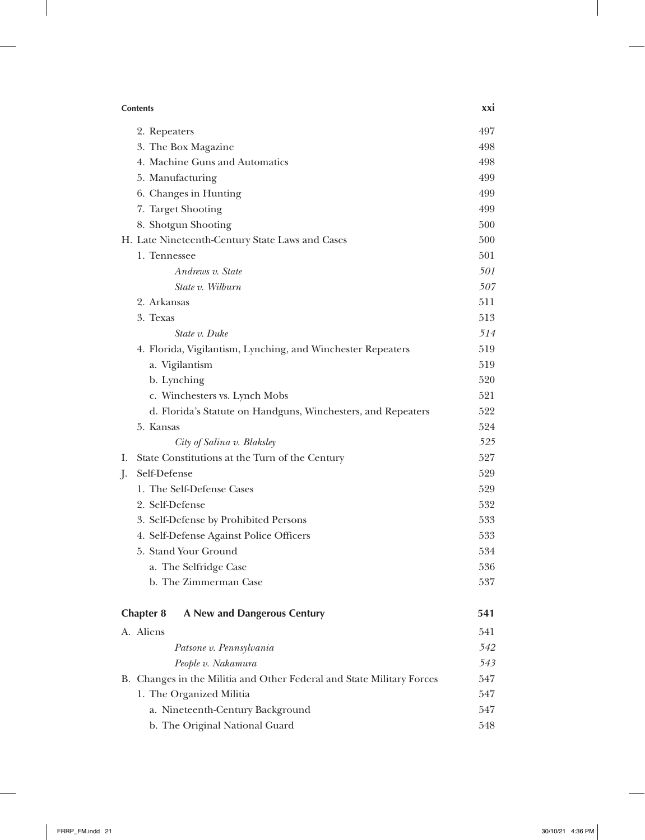| <b>Contents</b>                                                       | <b>XXI</b> |
|-----------------------------------------------------------------------|------------|
| 2. Repeaters                                                          | 497        |
| 3. The Box Magazine                                                   | 498        |
| 4. Machine Guns and Automatics                                        | 498        |
| 5. Manufacturing                                                      | 499        |
| 6. Changes in Hunting                                                 | 499        |
| 7. Target Shooting                                                    | 499        |
| 8. Shotgun Shooting                                                   | 500        |
| H. Late Nineteenth-Century State Laws and Cases                       | 500        |
| 1. Tennessee                                                          | 501        |
| Andrews v. State                                                      | 501        |
| State v. Wilburn                                                      | 507        |
| 2. Arkansas                                                           | 511        |
| 3. Texas                                                              | 513        |
| State v. Duke                                                         | 514        |
| 4. Florida, Vigilantism, Lynching, and Winchester Repeaters           | 519        |
| a. Vigilantism                                                        | 519        |
| b. Lynching                                                           | 520        |
| c. Winchesters vs. Lynch Mobs                                         | 521        |
| d. Florida's Statute on Handguns, Winchesters, and Repeaters          | 522        |
| 5. Kansas                                                             | 524        |
| City of Salina v. Blaksley                                            | 525        |
| State Constitutions at the Turn of the Century<br>Ι.                  | 527        |
| Self-Defense<br>$\cdot$                                               | 529        |
| 1. The Self-Defense Cases                                             | 529        |
| 2. Self-Defense                                                       | 532        |
| 3. Self-Defense by Prohibited Persons                                 | 533        |
| 4. Self-Defense Against Police Officers                               | 533        |
| 5. Stand Your Ground                                                  | 534        |
| a. The Selfridge Case                                                 | 536        |
| b. The Zimmerman Case                                                 | 537        |
| A New and Dangerous Century<br><b>Chapter 8</b>                       | 541        |
| A. Aliens                                                             | 541        |
| Patsone v. Pennsylvania                                               | 542        |
| People v. Nakamura                                                    | 543        |
| B. Changes in the Militia and Other Federal and State Military Forces | 547        |
| 1. The Organized Militia                                              | 547        |
| a. Nineteenth-Century Background                                      | 547        |
| b. The Original National Guard                                        | 548        |

 $\overline{\phantom{a}}$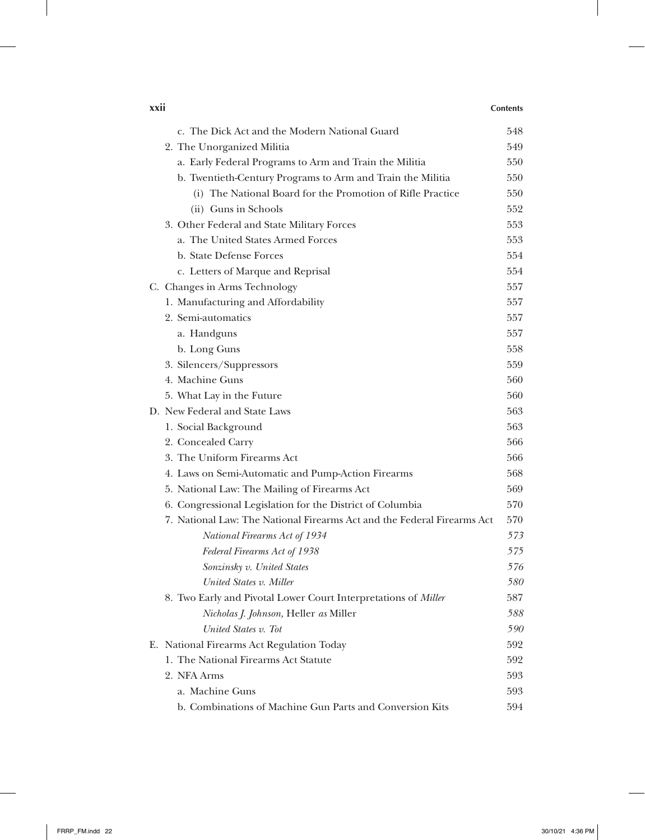### **xxii Contents**

 $\overline{1}$ 

| c. The Dick Act and the Modern National Guard                           | 548 |
|-------------------------------------------------------------------------|-----|
| 2. The Unorganized Militia                                              | 549 |
| a. Early Federal Programs to Arm and Train the Militia                  | 550 |
| b. Twentieth-Century Programs to Arm and Train the Militia              | 550 |
| (i) The National Board for the Promotion of Rifle Practice              | 550 |
| (ii) Guns in Schools                                                    | 552 |
| 3. Other Federal and State Military Forces                              | 553 |
| a. The United States Armed Forces                                       | 553 |
| b. State Defense Forces                                                 | 554 |
| c. Letters of Marque and Reprisal                                       | 554 |
| C. Changes in Arms Technology                                           | 557 |
| 1. Manufacturing and Affordability                                      | 557 |
| 2. Semi-automatics                                                      | 557 |
| a. Handguns                                                             | 557 |
| b. Long Guns                                                            | 558 |
| 3. Silencers/Suppressors                                                | 559 |
| 4. Machine Guns                                                         | 560 |
| 5. What Lay in the Future                                               | 560 |
| D. New Federal and State Laws                                           | 563 |
| 1. Social Background                                                    | 563 |
| 2. Concealed Carry                                                      | 566 |
| 3. The Uniform Firearms Act                                             | 566 |
| 4. Laws on Semi-Automatic and Pump-Action Firearms                      | 568 |
| 5. National Law: The Mailing of Firearms Act                            | 569 |
| 6. Congressional Legislation for the District of Columbia               | 570 |
| 7. National Law: The National Firearms Act and the Federal Firearms Act | 570 |
| National Firearms Act of 1934                                           | 573 |
| Federal Firearms Act of 1938                                            | 575 |
| Sonzinsky v. United States                                              | 576 |
| United States v. Miller                                                 | 580 |
| 8. Two Early and Pivotal Lower Court Interpretations of Miller          | 587 |
| Nicholas J. Johnson, Heller as Miller                                   | 588 |
| United States v. Tot                                                    | 590 |
| E. National Firearms Act Regulation Today                               | 592 |
| 1. The National Firearms Act Statute                                    | 592 |
| 2. NFA Arms                                                             | 593 |
| a. Machine Guns                                                         | 593 |
| b. Combinations of Machine Gun Parts and Conversion Kits                | 594 |

 $\perp$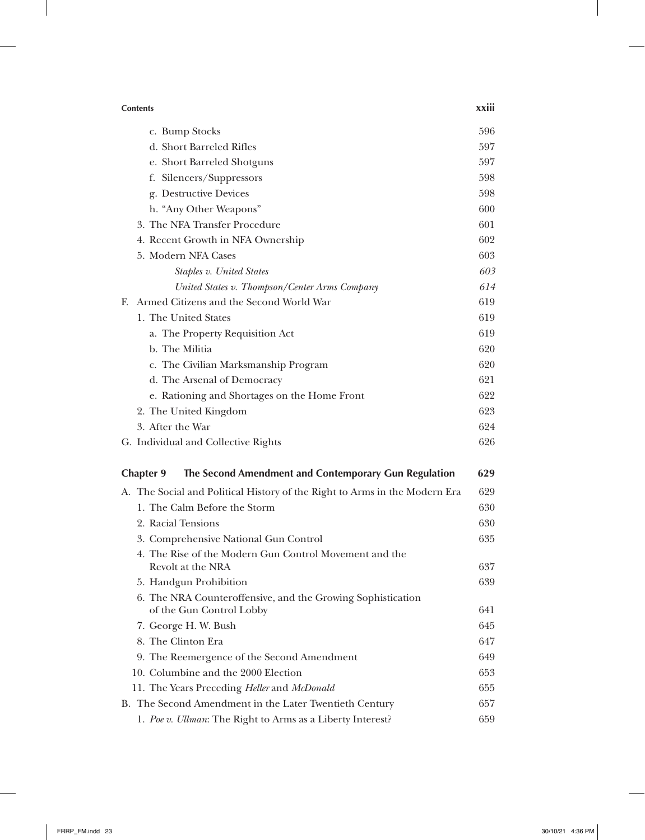| <b>Contents</b>                                                                         |     |
|-----------------------------------------------------------------------------------------|-----|
| c. Bump Stocks                                                                          | 596 |
| d. Short Barreled Rifles                                                                | 597 |
| e. Short Barreled Shotguns                                                              | 597 |
| f. Silencers/Suppressors                                                                | 598 |
| g. Destructive Devices                                                                  | 598 |
| h. "Any Other Weapons"                                                                  | 600 |
| 3. The NFA Transfer Procedure                                                           | 601 |
| 4. Recent Growth in NFA Ownership                                                       | 602 |
| 5. Modern NFA Cases                                                                     | 603 |
| Staples v. United States                                                                | 603 |
| United States v. Thompson/Center Arms Company                                           | 614 |
| Armed Citizens and the Second World War<br>F.                                           | 619 |
| 1. The United States                                                                    | 619 |
| a. The Property Requisition Act                                                         | 619 |
| b. The Militia                                                                          | 620 |
| c. The Civilian Marksmanship Program                                                    | 620 |
| d. The Arsenal of Democracy                                                             | 621 |
| e. Rationing and Shortages on the Home Front                                            | 622 |
| 2. The United Kingdom                                                                   | 623 |
| 3. After the War                                                                        | 624 |
| G. Individual and Collective Rights                                                     | 626 |
| The Second Amendment and Contemporary Gun Regulation<br><b>Chapter 9</b>                | 629 |
| A. The Social and Political History of the Right to Arms in the Modern Era              | 629 |
| 1. The Calm Before the Storm                                                            | 630 |
| 2. Racial Tensions                                                                      | 630 |
| 3. Comprehensive National Gun Control                                                   | 635 |
| 4. The Rise of the Modern Gun Control Movement and the                                  |     |
| Revolt at the NRA                                                                       | 637 |
| 5. Handgun Prohibition                                                                  | 639 |
| 6. The NRA Counteroffensive, and the Growing Sophistication<br>of the Gun Control Lobby | 641 |
| 7. George H. W. Bush                                                                    | 645 |
| 8. The Clinton Era                                                                      | 647 |
| 9. The Reemergence of the Second Amendment                                              | 649 |
| 10. Columbine and the 2000 Election                                                     | 653 |
| 11. The Years Preceding Heller and McDonald                                             | 655 |
| B. The Second Amendment in the Later Twentieth Century                                  | 657 |
| 1. Poe v. Ullman: The Right to Arms as a Liberty Interest?                              | 659 |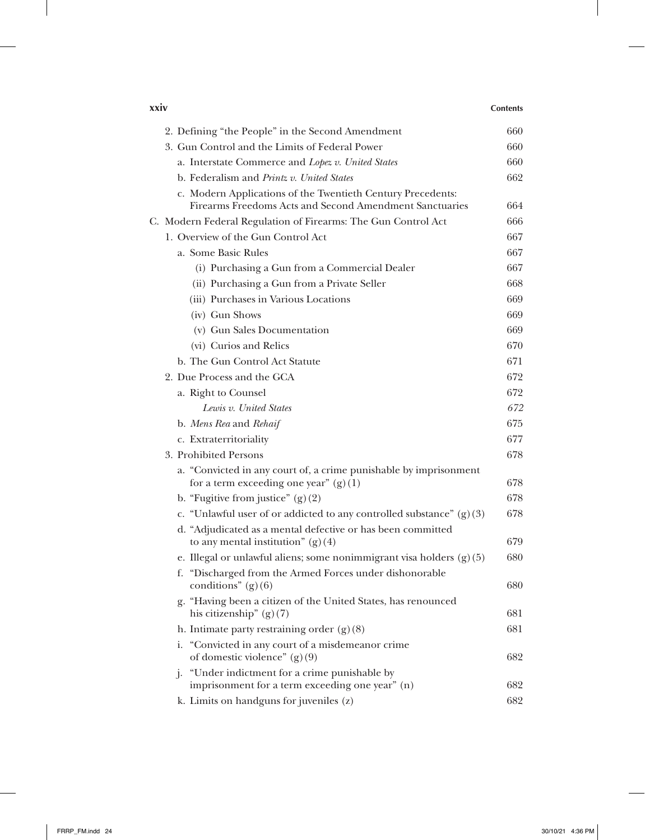| xxiv<br><b>Contents</b>                                                                                      |     |
|--------------------------------------------------------------------------------------------------------------|-----|
| 2. Defining "the People" in the Second Amendment                                                             | 660 |
| 3. Gun Control and the Limits of Federal Power                                                               | 660 |
| a. Interstate Commerce and Lopez v. United States                                                            | 660 |
| b. Federalism and <i>Printz v. United States</i>                                                             | 662 |
| c. Modern Applications of the Twentieth Century Precedents:                                                  |     |
| Firearms Freedoms Acts and Second Amendment Sanctuaries                                                      | 664 |
| C. Modern Federal Regulation of Firearms: The Gun Control Act                                                | 666 |
| 1. Overview of the Gun Control Act                                                                           | 667 |
| a. Some Basic Rules                                                                                          | 667 |
| (i) Purchasing a Gun from a Commercial Dealer                                                                | 667 |
| (ii) Purchasing a Gun from a Private Seller                                                                  | 668 |
| (iii) Purchases in Various Locations                                                                         | 669 |
| (iv) Gun Shows                                                                                               | 669 |
| (v) Gun Sales Documentation                                                                                  | 669 |
| (vi) Curios and Relics                                                                                       | 670 |
| b. The Gun Control Act Statute                                                                               | 671 |
| 2. Due Process and the GCA                                                                                   | 672 |
| a. Right to Counsel                                                                                          | 672 |
| Lewis v. United States                                                                                       | 672 |
| b. Mens Rea and Rehaif                                                                                       | 675 |
| c. Extraterritoriality                                                                                       | 677 |
| 3. Prohibited Persons                                                                                        | 678 |
| a. "Convicted in any court of, a crime punishable by imprisonment<br>for a term exceeding one year" $(g)(1)$ | 678 |
| b. "Fugitive from justice" $(g)(2)$                                                                          | 678 |
| c. "Unlawful user of or addicted to any controlled substance" $(g)(3)$                                       | 678 |
| d. "Adjudicated as a mental defective or has been committed                                                  |     |
| to any mental institution" $(g)(4)$                                                                          | 679 |
| e. Illegal or unlawful aliens; some nonimmigrant visa holders $(g)(5)$                                       | 680 |
| f. "Discharged from the Armed Forces under dishonorable<br>conditions" $(g)(6)$                              | 680 |
| g. "Having been a citizen of the United States, has renounced                                                |     |
| his citizenship" $(g)(7)$                                                                                    | 681 |
| h. Intimate party restraining order $(g)(8)$                                                                 | 681 |
| i. "Convicted in any court of a misdemeanor crime<br>of domestic violence" $(g)(9)$                          | 682 |
| j. "Under indictment for a crime punishable by                                                               |     |
| imprisonment for a term exceeding one year" (n)                                                              | 682 |
| k. Limits on handguns for juveniles (z)                                                                      | 682 |

 $\overline{\phantom{a}}$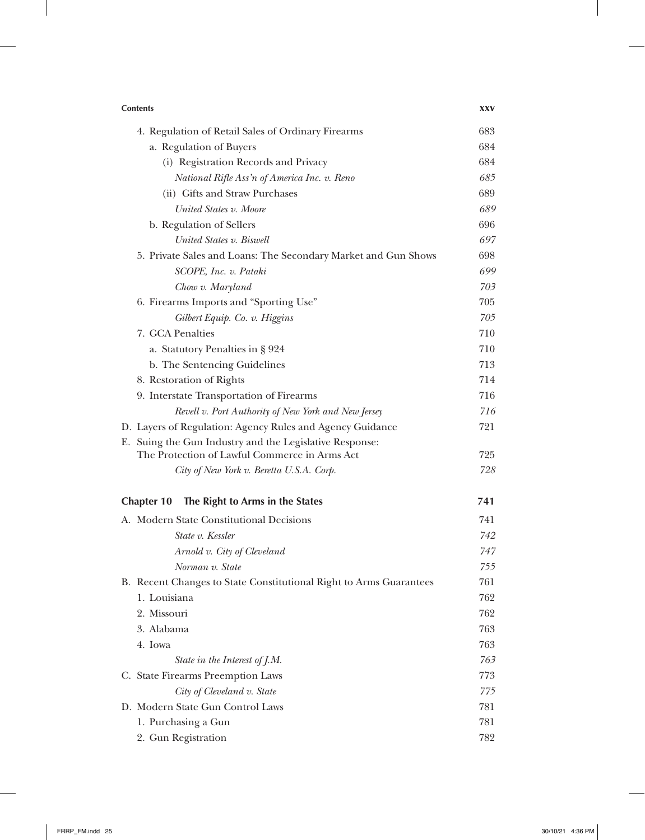| <b>Contents</b>                                                    |     |
|--------------------------------------------------------------------|-----|
| 4. Regulation of Retail Sales of Ordinary Firearms                 | 683 |
| a. Regulation of Buyers                                            | 684 |
| (i) Registration Records and Privacy                               | 684 |
| National Rifle Ass'n of America Inc. v. Reno                       | 685 |
| (ii) Gifts and Straw Purchases                                     | 689 |
| United States v. Moore                                             | 689 |
| b. Regulation of Sellers                                           | 696 |
| United States v. Biswell                                           | 697 |
| 5. Private Sales and Loans: The Secondary Market and Gun Shows     | 698 |
| SCOPE, Inc. v. Pataki                                              | 699 |
| Chow v. Maryland                                                   | 703 |
| 6. Firearms Imports and "Sporting Use"                             | 705 |
| Gilbert Equip. Co. v. Higgins                                      | 705 |
| 7. GCA Penalties                                                   | 710 |
| a. Statutory Penalties in § 924                                    | 710 |
| b. The Sentencing Guidelines                                       | 713 |
| 8. Restoration of Rights                                           | 714 |
| 9. Interstate Transportation of Firearms                           | 716 |
| Revell v. Port Authority of New York and New Jersey                | 716 |
| D. Layers of Regulation: Agency Rules and Agency Guidance          | 721 |
| E. Suing the Gun Industry and the Legislative Response:            |     |
| The Protection of Lawful Commerce in Arms Act                      | 725 |
| City of New York v. Beretta U.S.A. Corp.                           | 728 |
| The Right to Arms in the States<br><b>Chapter 10</b>               | 741 |
| A. Modern State Constitutional Decisions                           | 741 |
| State v. Kessler                                                   | 742 |
| Arnold v. City of Cleveland                                        | 747 |
| Norman v. State                                                    | 755 |
| B. Recent Changes to State Constitutional Right to Arms Guarantees | 761 |
| 1. Louisiana                                                       | 762 |
| 2. Missouri                                                        | 762 |
| 3. Alabama                                                         | 763 |
| 4. Iowa                                                            | 763 |
| State in the Interest of J.M.                                      | 763 |
| C. State Firearms Preemption Laws                                  | 773 |
| City of Cleveland v. State                                         | 775 |
| D. Modern State Gun Control Laws                                   | 781 |
| 1. Purchasing a Gun                                                | 781 |
| 2. Gun Registration                                                | 782 |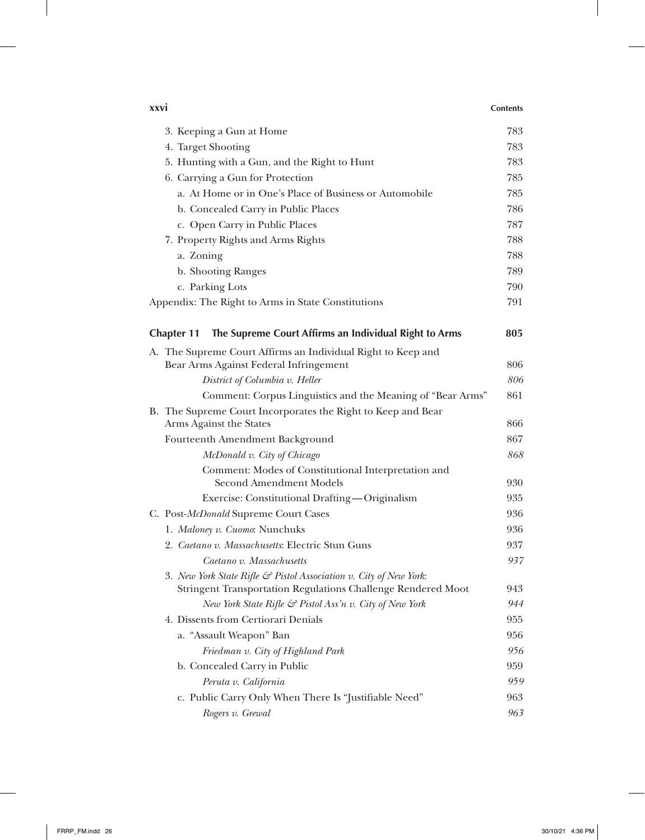| <b>XXVI</b> |                                                                                | <b>Contents</b> |
|-------------|--------------------------------------------------------------------------------|-----------------|
|             | 3. Keeping a Gun at Home                                                       | 783             |
|             | 4. Target Shooting                                                             | 783             |
|             | 5. Hunting with a Gun, and the Right to Hunt                                   | 783             |
|             | 6. Carrying a Gun for Protection                                               | 785             |
|             | a. At Home or in One's Place of Business or Automobile                         | 785             |
|             | b. Concealed Carry in Public Places                                            | 786             |
|             | c. Open Carry in Public Places                                                 | 787             |
|             | 7. Property Rights and Arms Rights                                             | 788             |
|             | a. Zoning                                                                      | 788             |
|             | b. Shooting Ranges                                                             | 789             |
|             | c. Parking Lots                                                                | 790             |
|             | Appendix: The Right to Arms in State Constitutions                             | 791             |
|             | The Supreme Court Affirms an Individual Right to Arms<br><b>Chapter 11</b>     | 805             |
|             | A. The Supreme Court Affirms an Individual Right to Keep and                   |                 |
|             | Bear Arms Against Federal Infringement                                         | 806             |
|             | District of Columbia v. Heller                                                 | 806             |
|             | Comment: Corpus Linguistics and the Meaning of "Bear Arms"                     | 861             |
|             | B. The Supreme Court Incorporates the Right to Keep and Bear                   |                 |
|             | Arms Against the States                                                        | 866             |
|             | Fourteenth Amendment Background                                                | 867             |
|             | McDonald v. City of Chicago                                                    | 868             |
|             | Comment: Modes of Constitutional Interpretation and<br>Second Amendment Models | 930             |
|             | Exercise: Constitutional Drafting-Originalism                                  | 935             |
|             | C. Post-McDonald Supreme Court Cases                                           | 936             |
|             | 1. Maloney v. Cuomo: Nunchuks                                                  | 936             |
|             | 2. <i>Caetano v. Massachusetts</i> : Electric Stun Guns                        | 937             |
|             | Caetano v. Massachusetts                                                       | 937             |
|             | 3. New York State Rifle & Pistol Association v. City of New York:              |                 |
|             | <b>Stringent Transportation Regulations Challenge Rendered Moot</b>            | 943             |
|             | New York State Rifle $\mathcal G$ Pistol Ass'n v. City of New York             | 944             |
|             | 4. Dissents from Certiorari Denials                                            | 955             |
|             | a. "Assault Weapon" Ban                                                        | 956             |
|             | Friedman v. City of Highland Park                                              | 956             |
|             | b. Concealed Carry in Public                                                   | 959             |
|             | Peruta v. California                                                           | 959             |
|             | c. Public Carry Only When There Is "Justifiable Need"                          | 963             |
|             | Rogers v. Grewal                                                               | 963             |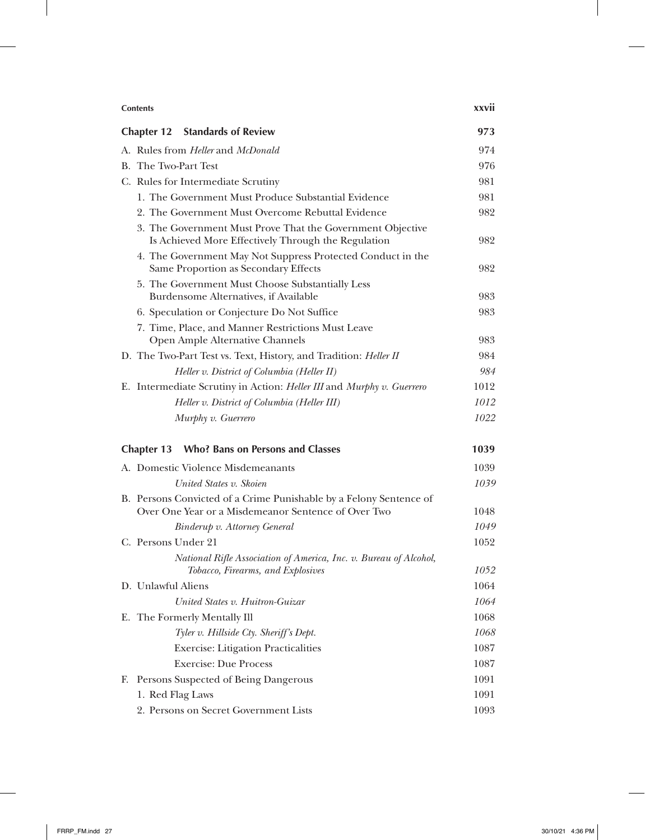| <b>Contents</b>                                                                                                   |      |
|-------------------------------------------------------------------------------------------------------------------|------|
| <b>Chapter 12 Standards of Review</b>                                                                             | 973  |
| A. Rules from <i>Heller</i> and <i>McDonald</i>                                                                   | 974  |
| B. The Two-Part Test                                                                                              | 976  |
| C. Rules for Intermediate Scrutiny                                                                                | 981  |
| 1. The Government Must Produce Substantial Evidence                                                               | 981  |
| 2. The Government Must Overcome Rebuttal Evidence                                                                 | 982  |
| 3. The Government Must Prove That the Government Objective<br>Is Achieved More Effectively Through the Regulation | 982  |
| 4. The Government May Not Suppress Protected Conduct in the<br>Same Proportion as Secondary Effects               | 982  |
| 5. The Government Must Choose Substantially Less                                                                  |      |
| Burdensome Alternatives, if Available                                                                             | 983  |
| 6. Speculation or Conjecture Do Not Suffice                                                                       | 983  |
| 7. Time, Place, and Manner Restrictions Must Leave<br>Open Ample Alternative Channels                             | 983  |
| D. The Two-Part Test vs. Text, History, and Tradition: <i>Heller II</i>                                           | 984  |
| Heller v. District of Columbia (Heller II)                                                                        | 984  |
| E. Intermediate Scrutiny in Action: Heller III and Murphy v. Guerrero                                             | 1012 |
| Heller v. District of Columbia (Heller III)                                                                       | 1012 |
| Murphy v. Guerrero                                                                                                | 1022 |
| <b>Who? Bans on Persons and Classes</b><br><b>Chapter 13</b>                                                      | 1039 |
| A. Domestic Violence Misdemeanants                                                                                | 1039 |
| United States v. Skoien                                                                                           | 1039 |
| B. Persons Convicted of a Crime Punishable by a Felony Sentence of                                                |      |
| Over One Year or a Misdemeanor Sentence of Over Two                                                               | 1048 |
| Binderup v. Attorney General                                                                                      | 1049 |
| C. Persons Under 21                                                                                               | 1052 |
| National Rifle Association of America, Inc. v. Bureau of Alcohol,<br>Tobacco, Firearms, and Explosives            | 1052 |
| D. Unlawful Aliens                                                                                                | 1064 |
| United States v. Huitron-Guizar                                                                                   | 1064 |
| E. The Formerly Mentally Ill                                                                                      | 1068 |
| Tyler v. Hillside Cty. Sheriff's Dept.                                                                            | 1068 |
| <b>Exercise: Litigation Practicalities</b>                                                                        | 1087 |
| <b>Exercise: Due Process</b>                                                                                      | 1087 |
| Persons Suspected of Being Dangerous<br>F.                                                                        | 1091 |
| 1. Red Flag Laws                                                                                                  | 1091 |
| 2. Persons on Secret Government Lists                                                                             | 1093 |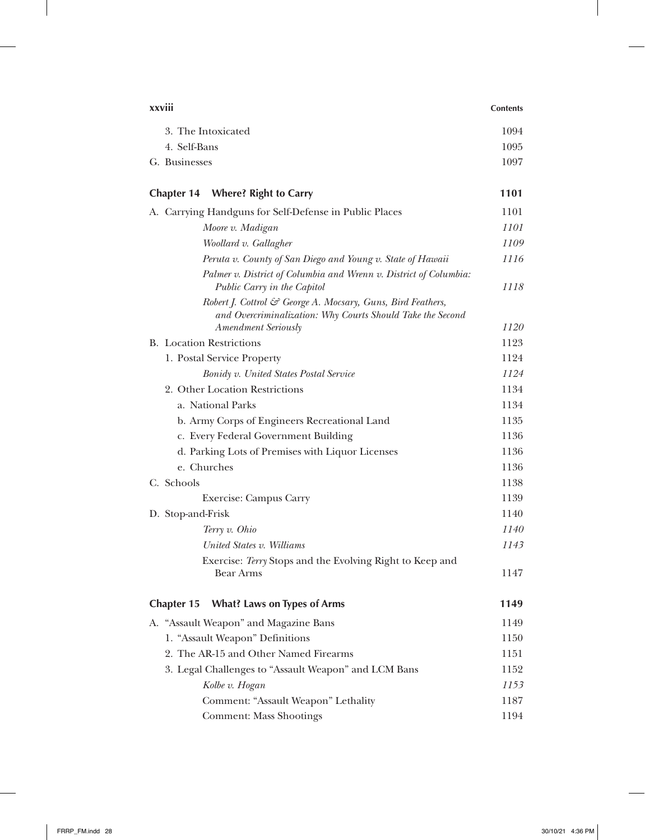| xxviii                                                                                                                                                  |      |
|---------------------------------------------------------------------------------------------------------------------------------------------------------|------|
| 3. The Intoxicated                                                                                                                                      | 1094 |
| 4. Self-Bans                                                                                                                                            | 1095 |
| G. Businesses                                                                                                                                           | 1097 |
| <b>Chapter 14</b><br><b>Where? Right to Carry</b>                                                                                                       | 1101 |
| A. Carrying Handguns for Self-Defense in Public Places                                                                                                  | 1101 |
| Moore v. Madigan                                                                                                                                        | 1101 |
| Woollard v. Gallagher                                                                                                                                   | 1109 |
| Peruta v. County of San Diego and Young v. State of Hawaii                                                                                              | 1116 |
| Palmer v. District of Columbia and Wrenn v. District of Columbia:<br>Public Carry in the Capitol                                                        | 1118 |
| Robert J. Cottrol & George A. Mocsary, Guns, Bird Feathers,<br>and Overcriminalization: Why Courts Should Take the Second<br><b>Amendment Seriously</b> | 1120 |
| <b>B.</b> Location Restrictions                                                                                                                         | 1123 |
| 1. Postal Service Property                                                                                                                              | 1124 |
| Bonidy v. United States Postal Service                                                                                                                  | 1124 |
| 2. Other Location Restrictions                                                                                                                          | 1134 |
| a. National Parks                                                                                                                                       | 1134 |
| b. Army Corps of Engineers Recreational Land                                                                                                            | 1135 |
| c. Every Federal Government Building                                                                                                                    | 1136 |
| d. Parking Lots of Premises with Liquor Licenses                                                                                                        | 1136 |
| e. Churches                                                                                                                                             | 1136 |
| C. Schools                                                                                                                                              | 1138 |
| Exercise: Campus Carry                                                                                                                                  | 1139 |
| D. Stop-and-Frisk                                                                                                                                       | 1140 |
| Terry v. Ohio                                                                                                                                           | 1140 |
| United States v. Williams                                                                                                                               | 1143 |
| Exercise: Terry Stops and the Evolving Right to Keep and<br><b>Bear Arms</b>                                                                            | 1147 |
| <b>What? Laws on Types of Arms</b><br><b>Chapter 15</b>                                                                                                 | 1149 |
| A. "Assault Weapon" and Magazine Bans                                                                                                                   | 1149 |
| 1. "Assault Weapon" Definitions                                                                                                                         | 1150 |
| 2. The AR-15 and Other Named Firearms                                                                                                                   | 1151 |
| 3. Legal Challenges to "Assault Weapon" and LCM Bans                                                                                                    | 1152 |
| Kolbe v. Hogan                                                                                                                                          | 1153 |
| Comment: "Assault Weapon" Lethality                                                                                                                     | 1187 |
| <b>Comment: Mass Shootings</b>                                                                                                                          | 1194 |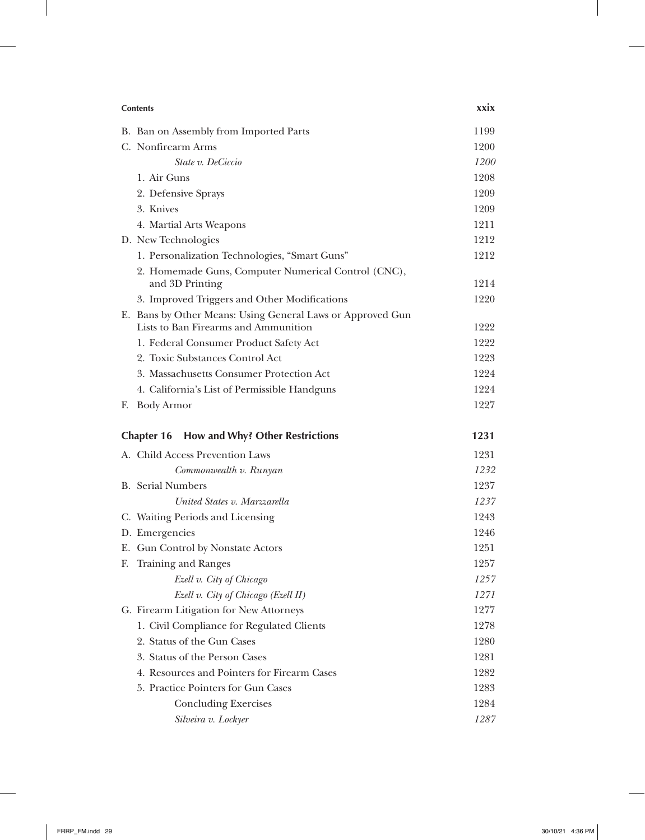|    | <b>Contents</b>                                                        |      |
|----|------------------------------------------------------------------------|------|
|    | B. Ban on Assembly from Imported Parts                                 | 1199 |
|    | C. Nonfirearm Arms                                                     | 1200 |
|    | State v. DeCiccio                                                      | 1200 |
|    | 1. Air Guns                                                            | 1208 |
|    | 2. Defensive Sprays                                                    | 1209 |
|    | 3. Knives                                                              | 1209 |
|    | 4. Martial Arts Weapons                                                | 1211 |
|    | D. New Technologies                                                    | 1212 |
|    | 1. Personalization Technologies, "Smart Guns"                          | 1212 |
|    | 2. Homemade Guns, Computer Numerical Control (CNC),<br>and 3D Printing | 1214 |
|    | 3. Improved Triggers and Other Modifications                           | 1220 |
|    | E. Bans by Other Means: Using General Laws or Approved Gun             |      |
|    | Lists to Ban Firearms and Ammunition                                   | 1222 |
|    | 1. Federal Consumer Product Safety Act                                 | 1222 |
|    | 2. Toxic Substances Control Act                                        | 1223 |
|    | 3. Massachusetts Consumer Protection Act                               | 1224 |
|    | 4. California's List of Permissible Handguns                           | 1224 |
| F. | <b>Body Armor</b>                                                      | 1227 |
|    | How and Why? Other Restrictions<br><b>Chapter 16</b>                   | 1231 |
|    | A. Child Access Prevention Laws                                        | 1231 |
|    | Commonwealth v. Runyan                                                 | 1232 |
|    | <b>B.</b> Serial Numbers                                               | 1237 |
|    | United States v. Marzzarella                                           | 1237 |
|    | C. Waiting Periods and Licensing                                       | 1243 |
|    | D. Emergencies                                                         | 1246 |
|    | E. Gun Control by Nonstate Actors                                      | 1251 |
| F. | <b>Training and Ranges</b>                                             | 1257 |
|    | Ezell v. City of Chicago                                               | 1257 |
|    | Ezell v. City of Chicago (Ezell II)                                    | 1271 |
|    | G. Firearm Litigation for New Attorneys                                | 1277 |
|    | 1. Civil Compliance for Regulated Clients                              | 1278 |
|    | 2. Status of the Gun Cases                                             | 1280 |
|    | 3. Status of the Person Cases                                          | 1281 |
|    | 4. Resources and Pointers for Firearm Cases                            | 1282 |
|    | 5. Practice Pointers for Gun Cases                                     | 1283 |
|    | <b>Concluding Exercises</b>                                            | 1284 |
|    | Silveira v. Lockyer                                                    | 1287 |